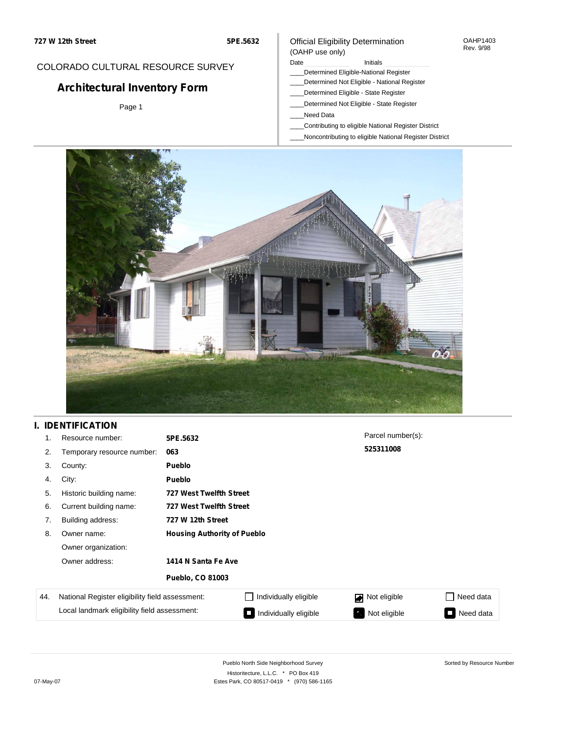COLORADO CULTURAL RESOURCE SURVEY

**Architectural Inventory Form**

Page 1

# Official Eligibility Determination

OAHP1403 Rev. 9/98

#### (OAHP use only) Date **Initials** Initials

- \_\_\_\_Determined Eligible-National Register
- \_\_\_\_Determined Not Eligible National Register
- \_\_\_\_Determined Eligible State Register
- \_\_\_\_Determined Not Eligible State Register
- \_\_\_\_Need Data
- \_\_\_\_Contributing to eligible National Register District
- \_\_\_\_Noncontributing to eligible National Register District



### **I. IDENTIFICATION**

| 1.  | Resource number:                                                 | 5PE.5632                           |                                | Parcel number(s):  |                     |
|-----|------------------------------------------------------------------|------------------------------------|--------------------------------|--------------------|---------------------|
| 2.  | Temporary resource number:                                       | 063                                |                                | 525311008          |                     |
| 3.  | County:                                                          | Pueblo                             |                                |                    |                     |
| 4.  | City:                                                            | Pueblo                             |                                |                    |                     |
| 5.  | Historic building name:                                          |                                    | <b>727 West Twelfth Street</b> |                    |                     |
| 6.  | Current building name:                                           | <b>727 West Twelfth Street</b>     |                                |                    |                     |
| 7.  | Building address:                                                | 727 W 12th Street                  |                                |                    |                     |
| 8.  | Owner name:                                                      | <b>Housing Authority of Pueblo</b> |                                |                    |                     |
|     | Owner organization:                                              |                                    |                                |                    |                     |
|     | Owner address:<br>1414 N Santa Fe Ave<br><b>Pueblo, CO 81003</b> |                                    |                                |                    |                     |
|     |                                                                  |                                    |                                |                    |                     |
| 44. | National Register eligibility field assessment:                  |                                    | Individually eligible          | Not eligible       | Need data           |
|     | Local landmark eligibility field assessment:                     |                                    | Individually eligible          | Not eligible<br>ч. | Need data<br>$\Box$ |

Sorted by Resource Number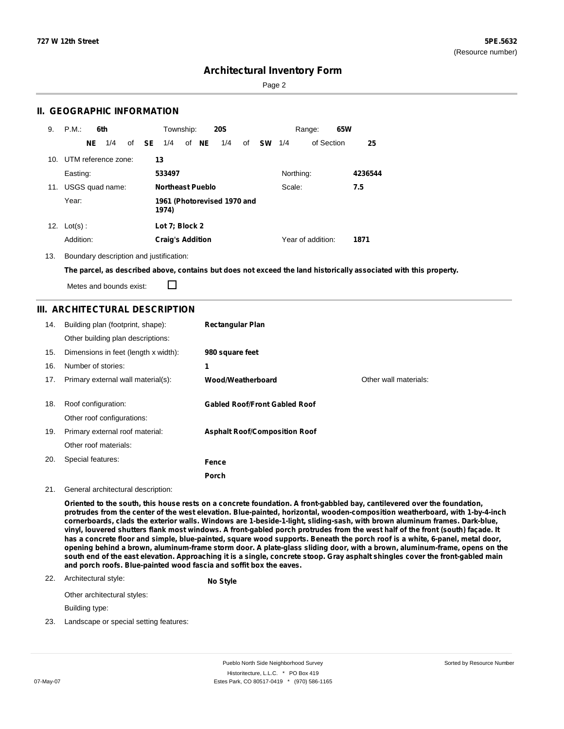Sorted by Resource Number

### **Architectural Inventory Form**

Page 2

#### **II. GEOGRAPHIC INFORMATION**

| 9.  | P.M.<br>6th             |              | Township:                            |       | <b>20S</b> |    |           | Range:    | 65W               |         |
|-----|-------------------------|--------------|--------------------------------------|-------|------------|----|-----------|-----------|-------------------|---------|
|     | NE<br>1/4               | of <b>SE</b> | 1/4                                  | of NE | 1/4        | of | <b>SW</b> | 1/4       | of Section        | 25      |
|     | 10. UTM reference zone: |              | 13                                   |       |            |    |           |           |                   |         |
|     | Easting:                |              | 533497                               |       |            |    |           | Northing: |                   | 4236544 |
| 11. | USGS quad name:         |              | <b>Northeast Pueblo</b>              |       |            |    |           | Scale:    |                   | 7.5     |
|     | Year:                   |              | 1961 (Photorevised 1970 and<br>1974) |       |            |    |           |           |                   |         |
| 12. | $Lot(s)$ :              |              | Lot 7; Block 2                       |       |            |    |           |           |                   |         |
|     | Addition:               |              | <b>Craig's Addition</b>              |       |            |    |           |           | Year of addition: | 1871    |

13. Boundary description and justification:

The parcel, as described above, contains but does not exceed the land historically associated with this property.

Metes and bounds exist:

 $\Box$ 

### **III. ARCHITECTURAL DESCRIPTION**

| 14. | Building plan (footprint, shape):    | <b>Rectangular Plan</b>              |                       |
|-----|--------------------------------------|--------------------------------------|-----------------------|
|     | Other building plan descriptions:    |                                      |                       |
| 15. | Dimensions in feet (length x width): | 980 square feet                      |                       |
| 16. | Number of stories:                   | 1                                    |                       |
| 17. | Primary external wall material(s):   | Wood/Weatherboard                    | Other wall materials: |
|     |                                      |                                      |                       |
| 18. | Roof configuration:                  | <b>Gabled Roof/Front Gabled Roof</b> |                       |
|     | Other roof configurations:           |                                      |                       |
| 19. | Primary external roof material:      | <b>Asphalt Roof/Composition Roof</b> |                       |
|     | Other roof materials:                |                                      |                       |
| 20. | Special features:                    | Fence                                |                       |
|     |                                      | <b>Porch</b>                         |                       |

#### 21. General architectural description:

Oriented to the south, this house rests on a concrete foundation. A front-gabbled bay, cantilevered over the foundation, **protrudes from the center of the west elevation. Blue-painted, horizontal, wooden-composition weatherboard, with 1-by-4-inch cornerboards, clads the exterior walls. Windows are 1-beside-1-light, sliding-sash, with brown aluminum frames. Dark-blue,** vinyl, louvered shutters flank most windows. A front-gabled porch protrudes from the west half of the front (south) façade. It has a concrete floor and simple, blue-painted, square wood supports. Beneath the porch roof is a white, 6-panel, metal door, opening behind a brown, aluminum-frame storm door. A plate-glass sliding door, with a brown, aluminum-frame, opens on the south end of the east elevation. Approaching it is a single, concrete stoop. Gray asphalt shingles cover the front-gabled main **and porch roofs. Blue-painted wood fascia and soffit box the eaves.**

#### 22. Architectural style:

**No Style**

Other architectural styles:

Building type:

23. Landscape or special setting features: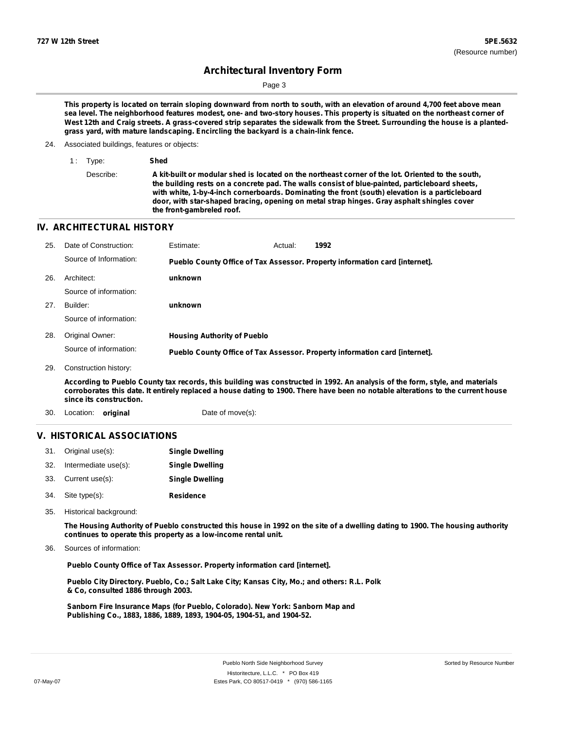Page 3

This property is located on terrain sloping downward from north to south, with an elevation of around 4,700 feet above mean sea level. The neighborhood features modest, one- and two-story houses. This property is situated on the northeast corner of West 12th and Craig streets. A grass-covered strip separates the sidewalk from the Street. Surrounding the house is a planted**grass yard, with mature landscaping. Encircling the backyard is a chain-link fence.**

- 24. Associated buildings, features or objects:
	- 1 : Type: **Shed**

```
Describe: A kit-built or modular shed is located on the northeast corner of the lot. Oriented to the south,
      the building rests on a concrete pad. The walls consist of blue-painted, particleboard sheets,
      with white, 1-by-4-inch cornerboards. Dominating the front (south) elevation is a particleboard
      door, with star-shaped bracing, opening on metal strap hinges. Gray asphalt shingles cover
      the front-gambreled roof.
```
### **IV. ARCHITECTURAL HISTORY**

| 25. | Date of Construction:  | Estimate:                          | Actual: | 1992                                                                        |
|-----|------------------------|------------------------------------|---------|-----------------------------------------------------------------------------|
|     | Source of Information: |                                    |         | Pueblo County Office of Tax Assessor. Property information card [internet]. |
| 26. | Architect:             | unknown                            |         |                                                                             |
|     | Source of information: |                                    |         |                                                                             |
| 27. | Builder:               | unknown                            |         |                                                                             |
|     | Source of information: |                                    |         |                                                                             |
| 28. | Original Owner:        | <b>Housing Authority of Pueblo</b> |         |                                                                             |
|     | Source of information: |                                    |         | Pueblo County Office of Tax Assessor. Property information card [internet]. |
| 29. | Construction history:  |                                    |         |                                                                             |

According to Pueblo County tax records, this building was constructed in 1992. An analysis of the form, style, and materials corroborates this date. It entirely replaced a house dating to 1900. There have been no notable alterations to the current house **since its construction.**

30. Location: **original** Date of move(s):

#### **V. HISTORICAL ASSOCIATIONS**

| 31. Original use(s):     | <b>Single Dwelling</b> |
|--------------------------|------------------------|
| 32. Intermediate use(s): | <b>Single Dwelling</b> |
| 33. Current use(s):      | <b>Single Dwelling</b> |
| 34. Site type(s):        | <b>Residence</b>       |

35. Historical background:

The Housing Authority of Pueblo constructed this house in 1992 on the site of a dwelling dating to 1900. The housing authority **continues to operate this property as a low-income rental unit.**

Sources of information: 36.

**Pueblo County Office of Tax Assessor. Property information card [internet].**

**Pueblo City Directory. Pueblo, Co.; Salt Lake City; Kansas City, Mo.; and others: R.L. Polk & Co, consulted 1886 through 2003.**

**Sanborn Fire Insurance Maps (for Pueblo, Colorado). New York: Sanborn Map and Publishing Co., 1883, 1886, 1889, 1893, 1904-05, 1904-51, and 1904-52.**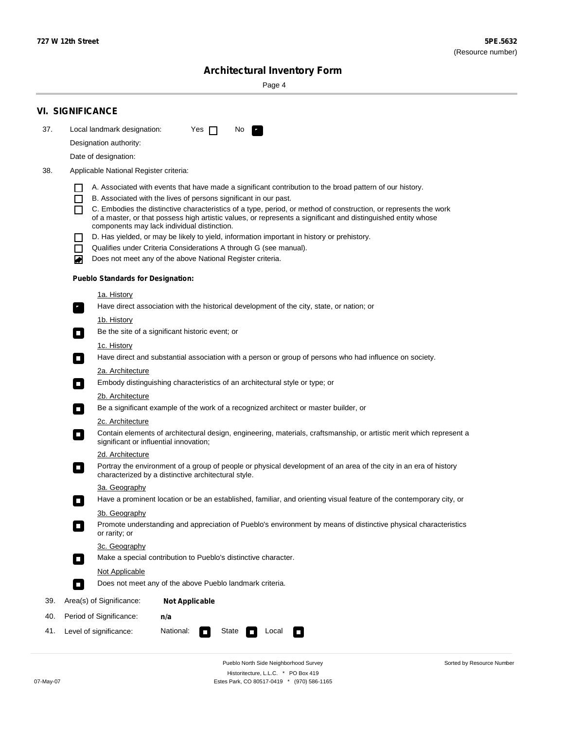Sorted by Resource Number

## **Architectural Inventory Form**

Page 4

|                                                                                                                                                                                                                                                                           | <b>VI. SIGNIFICANCE</b>                                                                                                                                                                                                           |  |  |  |                                                                                                                                                                                               |  |
|---------------------------------------------------------------------------------------------------------------------------------------------------------------------------------------------------------------------------------------------------------------------------|-----------------------------------------------------------------------------------------------------------------------------------------------------------------------------------------------------------------------------------|--|--|--|-----------------------------------------------------------------------------------------------------------------------------------------------------------------------------------------------|--|
| 37.                                                                                                                                                                                                                                                                       | Local landmark designation:<br>Yes $\Box$<br>No<br>и,                                                                                                                                                                             |  |  |  |                                                                                                                                                                                               |  |
| Designation authority:                                                                                                                                                                                                                                                    |                                                                                                                                                                                                                                   |  |  |  |                                                                                                                                                                                               |  |
|                                                                                                                                                                                                                                                                           | Date of designation:                                                                                                                                                                                                              |  |  |  |                                                                                                                                                                                               |  |
| 38.                                                                                                                                                                                                                                                                       | Applicable National Register criteria:                                                                                                                                                                                            |  |  |  |                                                                                                                                                                                               |  |
|                                                                                                                                                                                                                                                                           |                                                                                                                                                                                                                                   |  |  |  |                                                                                                                                                                                               |  |
| A. Associated with events that have made a significant contribution to the broad pattern of our history.<br>B. Associated with the lives of persons significant in our past.<br>L                                                                                         |                                                                                                                                                                                                                                   |  |  |  |                                                                                                                                                                                               |  |
|                                                                                                                                                                                                                                                                           | C. Embodies the distinctive characteristics of a type, period, or method of construction, or represents the work<br>of a master, or that possess high artistic values, or represents a significant and distinguished entity whose |  |  |  |                                                                                                                                                                                               |  |
|                                                                                                                                                                                                                                                                           | components may lack individual distinction.<br>D. Has yielded, or may be likely to yield, information important in history or prehistory.                                                                                         |  |  |  |                                                                                                                                                                                               |  |
|                                                                                                                                                                                                                                                                           | Qualifies under Criteria Considerations A through G (see manual).<br>ΙI                                                                                                                                                           |  |  |  |                                                                                                                                                                                               |  |
|                                                                                                                                                                                                                                                                           | Does not meet any of the above National Register criteria.<br>▰                                                                                                                                                                   |  |  |  |                                                                                                                                                                                               |  |
|                                                                                                                                                                                                                                                                           | <b>Pueblo Standards for Designation:</b>                                                                                                                                                                                          |  |  |  |                                                                                                                                                                                               |  |
|                                                                                                                                                                                                                                                                           | <u>1a. History</u>                                                                                                                                                                                                                |  |  |  |                                                                                                                                                                                               |  |
|                                                                                                                                                                                                                                                                           | Have direct association with the historical development of the city, state, or nation; or<br>У,                                                                                                                                   |  |  |  |                                                                                                                                                                                               |  |
| 1b. History<br>Be the site of a significant historic event; or<br>$\mathcal{L}_{\mathcal{A}}$                                                                                                                                                                             |                                                                                                                                                                                                                                   |  |  |  |                                                                                                                                                                                               |  |
|                                                                                                                                                                                                                                                                           | 1c. History<br>Have direct and substantial association with a person or group of persons who had influence on society.                                                                                                            |  |  |  |                                                                                                                                                                                               |  |
|                                                                                                                                                                                                                                                                           | $\mathcal{L}_{\mathcal{A}}$                                                                                                                                                                                                       |  |  |  |                                                                                                                                                                                               |  |
| 2a. Architecture<br>Embody distinguishing characteristics of an architectural style or type; or<br>$\mathcal{L}_{\mathcal{A}}$<br>2b. Architecture<br>Be a significant example of the work of a recognized architect or master builder, or<br>$\mathcal{L}_{\mathcal{A}}$ |                                                                                                                                                                                                                                   |  |  |  |                                                                                                                                                                                               |  |
|                                                                                                                                                                                                                                                                           |                                                                                                                                                                                                                                   |  |  |  | <b>2c. Architecture</b>                                                                                                                                                                       |  |
|                                                                                                                                                                                                                                                                           |                                                                                                                                                                                                                                   |  |  |  | Contain elements of architectural design, engineering, materials, craftsmanship, or artistic merit which represent a<br>$\mathcal{L}_{\mathcal{A}}$<br>significant or influential innovation; |  |
|                                                                                                                                                                                                                                                                           | 2d. Architecture                                                                                                                                                                                                                  |  |  |  |                                                                                                                                                                                               |  |
|                                                                                                                                                                                                                                                                           | Portray the environment of a group of people or physical development of an area of the city in an era of history<br>$\Box$<br>characterized by a distinctive architectural style.                                                 |  |  |  |                                                                                                                                                                                               |  |
|                                                                                                                                                                                                                                                                           | 3a. Geography                                                                                                                                                                                                                     |  |  |  |                                                                                                                                                                                               |  |
|                                                                                                                                                                                                                                                                           | Have a prominent location or be an established, familiar, and orienting visual feature of the contemporary city, or<br>П                                                                                                          |  |  |  |                                                                                                                                                                                               |  |
|                                                                                                                                                                                                                                                                           | 3b. Geography<br>Promote understanding and appreciation of Pueblo's environment by means of distinctive physical characteristics<br>$\sim$<br>or rarity; or                                                                       |  |  |  |                                                                                                                                                                                               |  |
|                                                                                                                                                                                                                                                                           | 3c. Geography                                                                                                                                                                                                                     |  |  |  |                                                                                                                                                                                               |  |
|                                                                                                                                                                                                                                                                           | Make a special contribution to Pueblo's distinctive character.<br>$\mathcal{L}_{\mathcal{A}}$                                                                                                                                     |  |  |  |                                                                                                                                                                                               |  |
|                                                                                                                                                                                                                                                                           | Not Applicable                                                                                                                                                                                                                    |  |  |  |                                                                                                                                                                                               |  |
|                                                                                                                                                                                                                                                                           | Does not meet any of the above Pueblo landmark criteria.<br>$\overline{\phantom{a}}$                                                                                                                                              |  |  |  |                                                                                                                                                                                               |  |
| 39.                                                                                                                                                                                                                                                                       | Area(s) of Significance:<br><b>Not Applicable</b>                                                                                                                                                                                 |  |  |  |                                                                                                                                                                                               |  |
| 40.                                                                                                                                                                                                                                                                       | Period of Significance:<br>n/a                                                                                                                                                                                                    |  |  |  |                                                                                                                                                                                               |  |
| 41.                                                                                                                                                                                                                                                                       | National:<br>State<br>Level of significance:<br>Local<br>O<br>$\sim$<br>п                                                                                                                                                         |  |  |  |                                                                                                                                                                                               |  |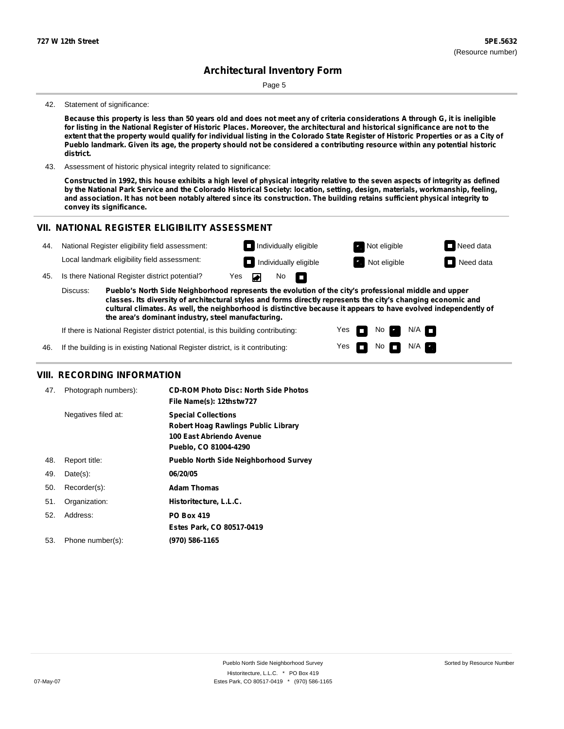Page 5

#### 42. Statement of significance:

Because this property is less than 50 years old and does not meet any of criteria considerations A through G, it is ineligible for listing in the National Register of Historic Places. Moreover, the architectural and historical significance are not to the extent that the property would qualify for individual listing in the Colorado State Register of Historic Properties or as a City of Pueblo landmark. Given its age, the property should not be considered a contributing resource within any potential historic **district.**

43. Assessment of historic physical integrity related to significance:

Constructed in 1992, this house exhibits a high level of physical integrity relative to the seven aspects of integrity as defined by the National Park Service and the Colorado Historical Society: location, setting, design, materials, workmanship, feeling, and association. It has not been notably altered since its construction. The building retains sufficient physical integrity to **convey its significance.**

#### **VII. NATIONAL REGISTER ELIGIBILITY ASSESSMENT Individually eligible Not eligible** Not eligible **Need data** 44. National Register eligibility field assessment: Local landmark eligibility field assessment: **I** Individually eligible **Not** Extract Not eligible **Need data** 45. Is there National Register district potential? Yes ◚ No П **Pueblo's North Side Neighborhood represents the evolution of the city's professional middle and upper** Discuss: **classes. Its diversity of architectural styles and forms directly represents the city's changing economic and cultural climates. As well, the neighborhood is distinctive because it appears to have evolved independently of the area's dominant industry, steel manufacturing.** If there is National Register district potential, is this building contributing: Yes No  $N/A$ П 46. If the building is in existing National Register district, is it contributing: Yes No  $\blacksquare$  N/A

#### **VIII. RECORDING INFORMATION**

| 47. | Photograph numbers): | <b>CD-ROM Photo Disc: North Side Photos</b><br>File Name(s): 12thstw727                                                |
|-----|----------------------|------------------------------------------------------------------------------------------------------------------------|
|     | Negatives filed at:  | <b>Special Collections</b><br>Robert Hoag Rawlings Public Library<br>100 East Abriendo Avenue<br>Pueblo, CO 81004-4290 |
| 48. | Report title:        | <b>Pueblo North Side Neighborhood Survey</b>                                                                           |
| 49. | $Date(s)$ :          | 06/20/05                                                                                                               |
| 50. | Recorder(s):         | <b>Adam Thomas</b>                                                                                                     |
| 51. | Organization:        | Historitecture, L.L.C.                                                                                                 |
| 52. | Address:             | <b>PO Box 419</b>                                                                                                      |
|     |                      | Estes Park, CO 80517-0419                                                                                              |
| 53. | Phone number(s):     | (970) 586-1165                                                                                                         |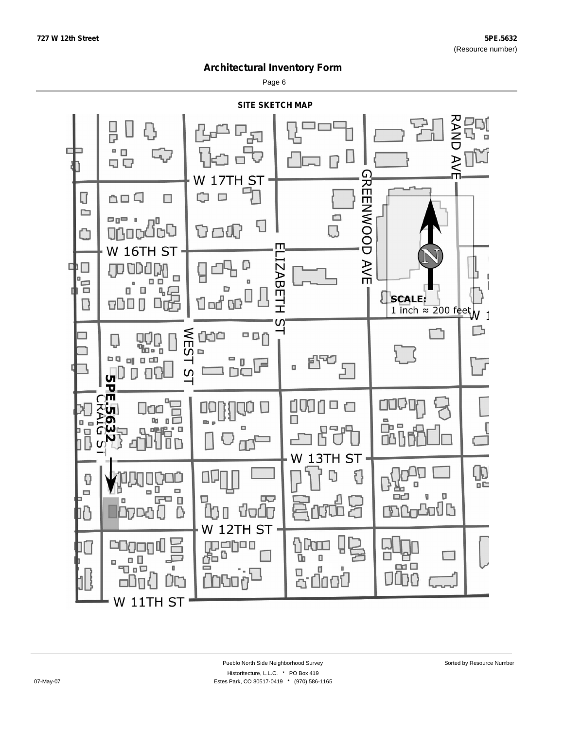Page 6